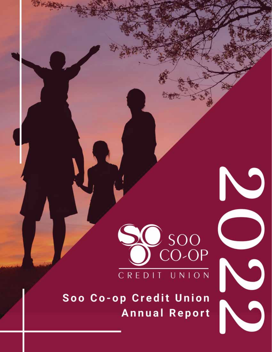

 $\bullet$ 

ì

5

Soo Co-op Credit Union **Annual Report**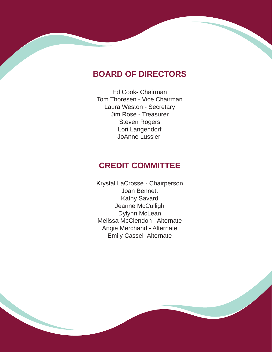# **BOARD OF DIRECTORS**

Ed Cook- Chairman Tom Thoresen - Vice Chairman Laura Weston - Secretary Jim Rose - Treasurer Steven Rogers Lori Langendorf JoAnne Lussier

# **CREDIT COMMITTEE**

Krystal LaCrosse - Chairperson Joan Bennett Kathy Savard Jeanne McCulligh Dylynn McLean Melissa McClendon - Alternate Angie Merchand - Alternate Emily Cassel- Alternate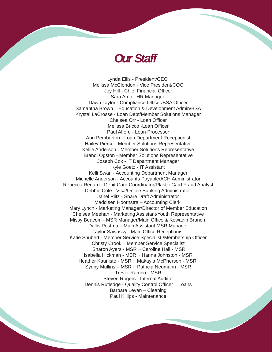# *Our Staff*

 Paul Killips - MaintenanceLynda Ellis - President/CEO Melissa McClendon - Vice President/COO Joy Hill - Chief Financial Officer Sara Amo - HR Manager Dawn Taylor - Compliance Officer/BSA Officer Samantha Brown – Education & Development Admin/BSA Krystal LaCrosse - Loan Dept/Member Solutions Manager Chelsea Orr - Loan Officer Melissa Bricco -Loan Officer Paul Alford - Loan Processor Ann Pemberton - Loan Department Receptionist Hailey Pierce - Member Solutions Representative Kellie Anderson - Member Solutions Representative Brandi Ogston - Member Solutions Representative Joseph Cox - IT Department Manager Kyle Goetz - IT Assistant Kelli Swan - Accounting Department Manager Michelle Anderson - Accounts Payable/ACH Administrator Rebecca Renard - Debit Card Coordinator/Plastic Card Fraud Analyst Debbie Cole - Visa/Online Banking Administrator Janel Plitz - Share Draft Administrator Maddisen Hoornstra – Accounting Clerk Mary Lynch - Marketing Manager/Director of Member Education Chelsea Meehan - Marketing Assistant/Youth Representative Missy Beacom - MSR Manager/Main Office & Kewadin Branch Dallis Postma – Main Assistant MSR Manager Taylor Sawasky - Main Office Receptionist Katie Shubert - Member Service Specialist /Membership Officer Christy Crook – Member Service Specialist Sharon Ayers - MSR ~ Caroline Hall - MSR Isabella Hickman - MSR ~ Hanna Johnston - MSR Heather Kaunisto - MSR ~ Makayla McPherson - MSR Sydny Mullins – MSR ~ Patricia Neumann - MSR Trevor Rambo - MSR Steven Rogers - Internal Auditor Dennis Rutledge - Quality Control Officer – Loans Barbara Levan – Cleaning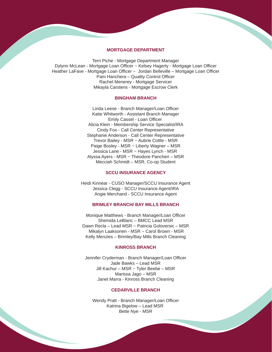#### **MORTGAGE DEPARTMENT**

Terri Piche - Mortgage Department Manager Dylynn McLean - Mortgage Loan Officer ~ Kelsey Hagerty - Mortgage Loan Officer Heather LaFave - Mortgage Loan Officer ~ Jordan Belleville - Mortgage Loan Officer Pam Hanchera – Quality Control Officer Rachel Menerey - Mortgage Servicer Mikayla Carstens - Mortgage Escrow Clerk

### **BINGHAM BRANCH**

Linda Leese - Branch Manager/Loan Officer Katie Whitworth - Assistant Branch Manager Emily Cassel - Loan Officer Alicia Klein - Membership Service Specialist/IRA Cindy Fox - Call Center Representative Stephanie Anderson - Call Center Representative Trevor Bailey - MSR ~ Aubrie Cottle - MSR Paige Bosley - MSR ~ Liberty Wagner – MSR Jessica Lane - MSR ~ Hayes Lynch - MSR Alyssa Ayers - MSR ~ Theodore Pancheri – MSR Mecciah Schmidt – MSR, Co-op Student

#### **SCCU INSURANCE AGENCY**

Heidi Kinnear - CUSO Manager/SCCU Insurance Agent Jessica Clegg - SCCU Insurance Agent/IRA Angie Merchand - SCCU Insurance Agent

#### **BRIMLEY BRANCH/ BAY MILLS BRANCH**

Monique Matthews - Branch Manager/Loan Officer Shemida LeBlanc – BMCC Lead MSR Dawn Recla – Lead MSR ~ Patricia Goloversic – MSR Mikalyn Laaksonen - MSR ~ Carol Brown - MSR Kelly Menzies – Brimley/Bay Mills Branch Cleaning

#### **KINROSS BRANCH**

Jennifer Cryderman - Branch Manager/Loan Officer Jade Bawks – Lead MSR Jill Kachur – MSR ~ Tyler Beebe – MSR Marissa Jago – MSR Janet Marra - Kinross Branch Cleaning

#### **CEDARVILLE BRANCH**

Wendy Pratt - Branch Manager/Loan Officer Katrina Bigelow – Lead MSR Bette Nye - MSR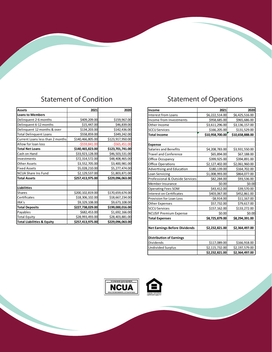# Statement of Condition Statement of Operations

| <b>Assets</b>                         | 2021             | 2020             |
|---------------------------------------|------------------|------------------|
| <b>Loans to Members</b>               |                  |                  |
| Delinquent 2-6 months                 | \$409,209.00     | \$159,967.00     |
| Delinquent 6-12 months                | \$15,447.00      | \$46,839.00      |
| Delinquent 12 months & over           | \$134,203.00     | \$142,436.00     |
| <b>Total Delinguent Loans</b>         | \$558,859.00     | \$349,242.00     |
| Current Loans less than 2 months      | \$140,466,805.00 | \$123,917,950.00 |
| Allow for loan loss                   | $-$ \$559,841.00 | $-$ \$565,451.00 |
| <b>Total Net Loans</b>                | \$140,465,823.00 | \$123,701,741.00 |
| Cash on Hand                          | \$33,923,128.00  | \$46,503,531.00  |
| Investments                           | \$72,314,572.00  | \$48,408,465.00  |
| <b>Other Assets</b>                   | \$3,552,705.00   | \$3,400,981.00   |
| <b>Fixed Assets</b>                   | \$5,028,210.00   | \$5,277,474.00   |
| <b>NCUA Share Ins Fund</b>            | \$2,129,537.00   | \$1,803,871.00   |
| <b>Total Assets</b>                   | \$257,413,975.00 | \$229,096,063.00 |
|                                       |                  |                  |
| <b>Liabilities</b>                    |                  |                  |
| <b>Shares</b>                         | \$200,102,819.00 | \$170,659,674.00 |
| Certificates                          | \$18,306,102.00  | \$18,667,234.00  |
| IRA's                                 | \$9,329,108.00   | \$9,673,108.00   |
| <b>Total Deposits</b>                 | \$227,738,029.00 | \$199,000,016.00 |
| Payables                              | \$682,453.00     | \$1,692,166.00   |
| <b>Total Equity</b>                   | \$28,993,493.00  | \$28,403,881.00  |
| <b>Total Liabilities &amp; Equity</b> | \$257,413,975.00 | \$229,096,063.00 |

| Income                               | 2021            | 2020            |
|--------------------------------------|-----------------|-----------------|
| <b>Interest from Loans</b>           | \$6,222,514.00  | \$6,425,516.00  |
| Income from Investments              | \$958,685.00    | \$965,686.00    |
| Other Income                         | \$3,611,296.00  | \$3,136,157.00  |
| <b>SCCU Services</b>                 | \$166,205.00    | \$131,529.00    |
| <b>Total Income</b>                  | \$10,958,700.00 | \$10,658,888.00 |
|                                      |                 |                 |
| <b>Expense</b>                       |                 |                 |
| Salaries and Benefits                | \$4,208,783.00  | \$3,931,550.00  |
| <b>Travel and Conference</b>         | \$65,894.00     | \$67,188.00     |
| Office Occupancy                     | \$399,925.00    | \$394,891.00    |
| Office Operations                    | \$2,127,402.00  | \$2,061,960.00  |
| Advertising and Education            | \$180,139.00    | \$164,702.00    |
| Loan Servicing                       | \$1,008,993.00  | \$864,077.00    |
| Professional & Outside Services      | \$82,284.00     | \$93,536.00     |
| Member Insurance                     | \$0.00          | \$0.00          |
| Operating Fees SOM                   | \$43,412.00     | \$39,570.00     |
| <b>Interest on Certificates</b>      | \$403,067.00    | \$452,861.00    |
| Provision for Loan Loss              | $-$ \$8,914.00  | \$11,167.00     |
| <b>Other Expenses</b>                | \$57,732.00     | \$79,617.00     |
| <b>SCCU Services</b>                 | \$157,162.00    | \$133,272.00    |
| <b>NCUSIF Premium Expense</b>        | \$0.00          | \$0.00          |
| <b>Total Expenses</b>                | \$8,725,879.00  | \$8,294,391.00  |
|                                      |                 |                 |
| <b>Net Earnings Before Dividends</b> | \$2,232,821.00  | \$2,364,497.00  |
|                                      |                 |                 |
| <b>Distribution of Earnings</b>      |                 |                 |
| Dividends                            | \$117,089.00    | \$166,918.00    |
| Undivided Surplus                    | \$2,115,732.00  | \$2,197,579.00  |
|                                      | \$2,232,821.00  | \$2,364,497.00  |



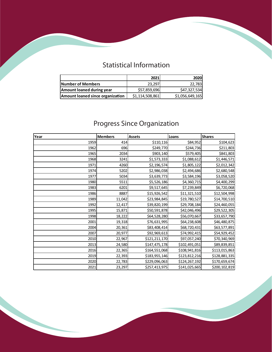# Statistical Information

|                                  | 2021            | 2020            |
|----------------------------------|-----------------|-----------------|
| Number of Members                | 23.297          | 22,783          |
| Amount loaned during year        | \$57,859,696    | \$47,327,534    |
| Amount loaned since organization | \$1,114,508,861 | \$1,056,649,165 |

# Progress Since Organization

| Year | <b>Members</b> | Assets        | Loans         | <b>Shares</b> |
|------|----------------|---------------|---------------|---------------|
| 1959 | 414            | \$110,116     | \$84,952      | \$104,623     |
| 1962 | 696            | \$249,770     | \$244,736     | \$211,803     |
| 1965 | 2034           | \$903,140     | \$579,405     | \$841,803     |
| 1968 | 3241           | \$1,573,333   | \$1,088,612   | \$1,446,571   |
| 1971 | 4260           | \$2,196,574   | \$1,805,122   | \$2,012,342   |
| 1974 | 5202           | \$2,986,038   | \$2,494,686   | \$2,680,548   |
| 1977 | 5034           | \$3,639,773   | \$3,584,196   | \$3,058,520   |
| 1980 | 5511           | \$5,526,186   | \$4,360,715   | \$4,400,299   |
| 1983 | 6201           | \$9,517,645   | \$7,239,849   | \$6,720,068   |
| 1986 | 8887           | \$15,926,542  | \$11,321,510  | \$12,504,998  |
| 1989 | 11,042         | \$23,984,845  | \$19,780,527  | \$14,700,510  |
| 1992 | 12,417         | \$39,820,199  | \$29,708,184  | \$24,460,055  |
| 1995 | 15,871         | \$50,591,878  | \$42,046,496  | \$29,522,305  |
| 1998 | 18,222         | \$64,528,280  | \$56,070,667  | \$33,657,790  |
| 2001 | 19,318         | \$76,631,995  | \$64,238,608  | \$46,480,875  |
| 2004 | 20,361         | \$83,408,414  | \$68,720,431  | \$63,577,891  |
| 2007 | 20,977         | \$92,969,613  | \$74,992,415  | \$54,929,452  |
| 2010 | 22,967         | \$121,211,170 | \$97,057,240  | \$70,340,969  |
| 2013 | 24,580         | \$147,475,178 | \$102,491,051 | \$89,839,851  |
| 2016 | 22,365         | \$164,551,068 | \$108,941,816 | \$113,015,863 |
| 2019 | 22,393         | \$183,955,146 | \$123,812,216 | \$128,881,335 |
| 2020 | 22,783         | \$229,096,063 | \$124,267,192 | \$170,659,674 |
| 2021 | 23,297         | \$257,413,975 | \$141,025,665 | \$200,102,819 |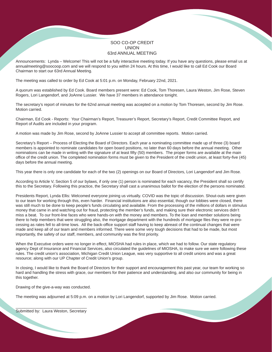### SOO CO-OP CREDIT UNION 63rd ANNUAL MEETING

Announcements: Lynda – Welcome! This will not be a fully interactive meeting today. If you have any questions, please email us at annualmeeting@soocoop.com and we will respond to you within 24 hours. At this time, I would like to call Ed Cook our Board Chairman to start our 63rd Annual Meeting.

The meeting was called to order by Ed Cook at 5:01 p.m. on Monday, February 22nd, 2021.

A quorum was established by Ed Cook. Board members present were: Ed Cook, Tom Thoresen, Laura Weston, Jim Rose, Steven Rogers, Lori Langendorf, and JoAnne Lussier. We have 37 members in attendance tonight.

The secretary's report of minutes for the 62nd annual meeting was accepted on a motion by Tom Thoresen, second by Jim Rose. Motion carried.

Chairman, Ed Cook - Reports: Your Chairman's Report, Treasurer's Report, Secretary's Report, Credit Committee Report, and Report of Audits are included in your program.

A motion was made by Jim Rose, second by JoAnne Lussier to accept all committee reports. Motion carried.

Secretary's Report – Process of Electing the Board of Directors. Each year a nominating committee made up of three (3) board members is appointed to nominate candidates for open board positions, no later than 60 days before the annual meeting. Other nominations can be made in writing with the signature of at least fifty (50) members. The proper forms are available at the main office of the credit union. The completed nomination forms must be given to the President of the credit union, at least forty-five (45) days before the annual meeting.

This year there is only one candidate for each of the two (2) openings on our Board of Directors, Lori Langendorf and Jim Rose.

According to Article V, Section 5 of our bylaws, if only one (1) person is nominated for each vacancy, the President shall so certify this to the Secretary. Following this practice, the Secretary shall cast a unanimous ballot for the election of the persons nominated.

Presidents Report, Lynda Ellis: Welcomed everyone joining us virtually. COVID was the topic of discussion. Shout-outs were given to our team for working through this, even harder. Financial institutions are also essential, though our lobbies were closed, there was still much to be done to keep people's funds circulating and available. From the processing of the millions of dollars in stimulus money that came in and watching out for fraud, protecting the member's funds, and making sure their electronic services didn't miss a beat. To our front-line faces who were hands-on with the money and members. To the loan and member solutions being there to help members that were struggling also, the mortgage department with the hundreds of mortgage files they were re-processing as rates fell to all-time lows. All the back-office support staff having to keep abreast of the continual changes that were made and keep all of our team and members informed. There were some very tough decisions that had to be made, but most importantly, the safety of our staff, members, and community was the first priority.

When the Executive orders were no longer in effect, MIOSHA had rules in place, which we had to follow. Our state regulatory agency Dept of Insurance and Financial Services, also circulated the guidelines of MIOSHA, to make sure we were following these rules. The credit union's association, Michigan Credit Union League, was very supportive to all credit unions and was a great resource; along with our UP Chapter of Credit Union's group.

In closing, I would like to thank the Board of Directors for their support and encouragement this past year, our team for working so hard and handling the stress with grace, our members for their patience and understanding, and also our community for being in this together.

Drawing of the give-a-way was conducted.

The meeting was adjourned at 5:09 p.m. on a motion by Lori Langendorf, supported by Jim Rose. Motion carried.

\_\_\_\_\_\_\_\_\_\_\_\_\_\_\_\_\_\_\_\_\_\_\_\_\_\_\_\_\_\_\_\_ Submitted by: Laura Weston, Secretary

**START OF STRAIGHT**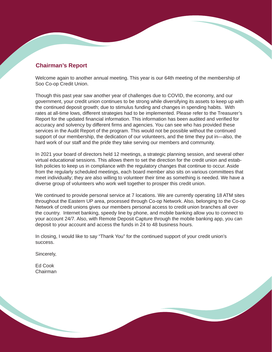# **Chairman's Report**

Welcome again to another annual meeting. This year is our 64th meeting of the membership of Soo Co-op Credit Union.

Though this past year saw another year of challenges due to COVID, the economy, and our government, your credit union continues to be strong while diversifying its assets to keep up with the continued deposit growth; due to stimulus funding and changes in spending habits. With rates at all-time lows, different strategies had to be implemented. Please refer to the Treasurer's Report for the updated financial information. This information has been audited and verified for accuracy and solvency by different firms and agencies. You can see who has provided these services in the Audit Report of the program. This would not be possible without the continued support of our membership, the dedication of our volunteers, and the time they put in—also, the hard work of our staff and the pride they take serving our members and community.

In 2021 your board of directors held 12 meetings, a strategic planning session, and several other virtual educational sessions. This allows them to set the direction for the credit union and establish policies to keep us in compliance with the regulatory changes that continue to occur. Aside from the regularly scheduled meetings, each board member also sits on various committees that meet individually; they are also willing to volunteer their time as something is needed. We have a diverse group of volunteers who work well together to prosper this credit union.

We continued to provide personal service at 7 locations. We are currently operating 18 ATM sites throughout the Eastern UP area, processed through Co-op Network. Also, belonging to the Co-op Network of credit unions gives our members personal access to credit union branches all over the country. Internet banking, speedy line by phone, and mobile banking allow you to connect to your account 24/7. Also, with Remote Deposit Capture through the mobile banking app, you can deposit to your account and access the funds in 24 to 48 business hours.

In closing, I would like to say "Thank You" for the continued support of your credit union's success.

Sincerely,

Ed Cook Chairman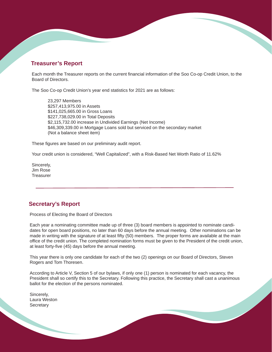## **Treasurer's Report**

Each month the Treasurer reports on the current financial information of the Soo Co-op Credit Union, to the Board of Directors.

The Soo Co-op Credit Union's year end statistics for 2021 are as follows:

 23,297 Members \$257,413,975.00 in Assets \$141,025,665.00 in Gross Loans \$227,738,029.00 in Total Deposits \$2,115,732.00 increase in Undivided Earnings (Net Income) \$46,309,339.00 in Mortgage Loans sold but serviced on the secondary market (Not a balance sheet item)

These figures are based on our preliminary audit report.

Your credit union is considered, "Well Capitalized", with a Risk-Based Net Worth Ratio of 11.62%

Sincerely, Jim Rose **Treasurer** 

### **Secretary's Report**

Process of Electing the Board of Directors

Each year a nominating committee made up of three (3) board members is appointed to nominate candidates for open board positions, no later than 60 days before the annual meeting. Other nominations can be made in writing with the signature of at least fifty (50) members. The proper forms are available at the main office of the credit union. The completed nomination forms must be given to the President of the credit union, at least forty-five (45) days before the annual meeting.

This year there is only one candidate for each of the two (2) openings on our Board of Directors, Steven Rogers and Tom Thoresen.

According to Article V, Section 5 of our bylaws, if only one (1) person is nominated for each vacancy, the President shall so certify this to the Secretary. Following this practice, the Secretary shall cast a unanimous ballot for the election of the persons nominated.

Sincerely, Laura Weston Secretary<br>
Secretary<br>
The Secretary<br>
Secretary<br>
Secretary<br>
Secretary<br>
Secretary<br>
Secretary<br>
Secretary<br>
Secretary<br>
Secretary<br>
Secretary<br>
Secretary<br>
Secretary<br>
Secretary<br>
Secretary<br>
Secretary<br>
Secretary<br>
Secretary<br>
Secretary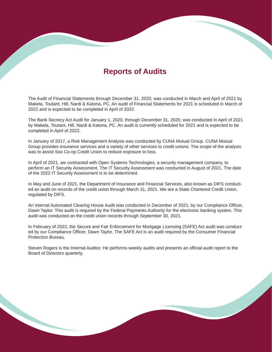# **Reports of Audits**

The Audit of Financial Statements through December 31, 2020, was conducted in March and April of 2021 by Makela, Toutant, Hill, Nardi & Katona, PC. An audit of Financial Statements for 2021 is scheduled in March of 2022 and is expected to be completed in April of 2022.

The Bank Secrecy Act Audit for January 1, 2020, through December 31, 2020, was conducted in April of 2021 by Makela, Toutant, Hill, Nardi & Katona, PC. An audit is currently scheduled for 2021 and is expected to be completed in April of 2022.

In January of 2017, a Risk Management Analysis was conducted by CUNA Mutual Group. CUNA Mutual Group provides insurance services and a variety of other services to credit unions. The scope of the analysis was to assist Soo Co-op Credit Union to reduce exposure to loss.

In April of 2021, we contracted with Open Systems Technologies, a security management company, to perform an IT Security Assessment. The IT Security Assessment was conducted in August of 2021. The date of the 2022 IT Security Assessment is to be determined.

In May and June of 2021, the Department of Insurance and Financial Services, also known as DIFS conducted an audit on records of the credit union through March 31, 2021. We are a State Chartered Credit Union, regulated by DIFS.

An internal Automated Clearing House Audit was conducted in December of 2021, by our Compliance Officer, Dawn Taylor. This audit is required by the Federal Payments Authority for the electronic banking system. This audit was conducted on the credit union records through September 30, 2021.

In February of 2022, the Secure and Fair Enforcement for Mortgage Licensing (SAFE) Act audit was conducted by our Compliance Officer, Dawn Taylor. The SAFE Act is an audit required by the Consumer Financial Protection Bureau.

Steven Rogers is the Internal Auditor. He performs weekly audits and presents an official audit report to the Board of Directors quarterly.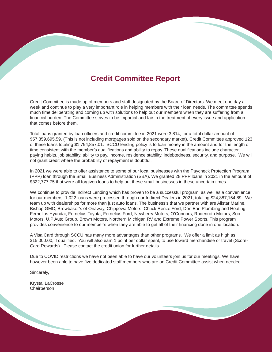# **Credit Committee Report**

Credit Committee is made up of members and staff designated by the Board of Directors. We meet one day a week and continue to play a very important role in helping members with their loan needs. The committee spends much time deliberating and coming up with solutions to help out our members when they are suffering from a financial burden. The Committee strives to be impartial and fair in the treatment of every issue and application that comes before them.

Total loans granted by loan officers and credit committee in 2021 were 3,814, for a total dollar amount of \$57,859,695.59. (This is not including mortgages sold on the secondary market). Credit Committee approved 123 of these loans totaling \$1,794,857.01. SCCU lending policy is to loan money in the amount and for the length of time consistent with the member's qualifications and ability to repay. These qualifications include character, paying habits, job stability, ability to pay, income, residence stability, indebtedness, security, and purpose. We will not grant credit where the probability of repayment is doubtful.

In 2021 we were able to offer assistance to some of our local businesses with the Paycheck Protection Program (PPP) loan through the Small Business Administration (SBA). We granted 28 PPP loans in 2021 in the amount of \$322,777.75 that were all forgiven loans to help out these small businesses in these uncertain times.

We continue to provide Indirect Lending which has proven to be a successful program, as well as a convenience for our members. 1,022 loans were processed through our Indirect Dealers in 2021, totaling \$24,887,154.89. We team up with dealerships for more than just auto loans. The business's that we partner with are Allstar Marine, Bishop GMC, Brewbaker's of Onaway, Chippewa Motors, Chuck Renze Ford, Don Earl Plumbing and Heating, Fernelius Hyundai, Fernelius Toyota, Fernelius Ford, Newberry Motors, O'Connors, Rodenroth Motors, Soo Motors, U.P Auto Group, Brown Motors, Northern Michigan RV and Extreme Power Sports. This program provides convenience to our member's when they are able to get all of their financing done in one location.

A Visa Card through SCCU has many more advantages than other programs. We offer a limit as high as \$15,000.00, if qualified. You will also earn 1 point per dollar spent, to use toward merchandise or travel (Score-Card Rewards). Please contact the credit union for further details.

Due to COVID restrictions we have not been able to have our volunteers join us for our meetings. We have however been able to have five dedicated staff members who are on Credit Committee assist when needed.

Sincerely,

Krystal LaCrosse **Chairperson**